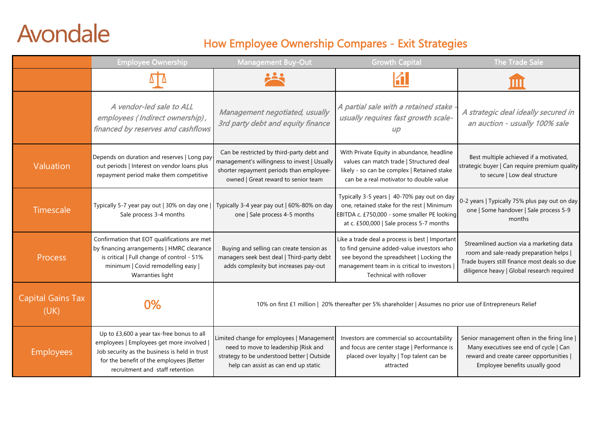## Avondale

## How Employee Ownership Compares - Exit Strategies

|                                  | <b>Employee Ownership</b>                                                                                                                                                                                              | <b>Management Buy-Out</b>                                                                                                                                                    | <b>Growth Capital</b>                                                                                                                                                                                              | The Trade Sale                                                                                                                                                                    |  |
|----------------------------------|------------------------------------------------------------------------------------------------------------------------------------------------------------------------------------------------------------------------|------------------------------------------------------------------------------------------------------------------------------------------------------------------------------|--------------------------------------------------------------------------------------------------------------------------------------------------------------------------------------------------------------------|-----------------------------------------------------------------------------------------------------------------------------------------------------------------------------------|--|
|                                  |                                                                                                                                                                                                                        |                                                                                                                                                                              |                                                                                                                                                                                                                    |                                                                                                                                                                                   |  |
|                                  | A vendor-led sale to ALL<br>employees (Indirect ownership),<br>financed by reserves and cashflows                                                                                                                      | Management negotiated, usually<br>3rd party debt and equity finance                                                                                                          | A partial sale with a retained stake<br>usually requires fast growth scale-<br>U/D                                                                                                                                 | A strategic deal ideally secured in<br>an auction - usually 100% sale                                                                                                             |  |
| Valuation                        | Depends on duration and reserves   Long pay<br>out periods   Interest on vendor loans plus<br>repayment period make them competitive                                                                                   | Can be restricted by third-party debt and<br>management's willingness to invest   Usually<br>shorter repayment periods than employee-<br>owned   Great reward to senior team | With Private Equity in abundance, headline<br>values can match trade   Structured deal<br>likely - so can be complex   Retained stake<br>can be a real motivator to double value                                   | Best multiple achieved if a motivated,<br>strategic buyer   Can require premium quality<br>to secure   Low deal structure                                                         |  |
| Timescale                        | Typically 5-7 year pay out   30% on day one  <br>Sale process 3-4 months                                                                                                                                               | Typically 3-4 year pay out   60%-80% on day<br>one   Sale process 4-5 months                                                                                                 | Typically 3-5 years   40-70% pay out on day<br>one, retained stake for the rest   Minimum<br>EBITDA c. £750,000 - some smaller PE looking<br>at c. £500,000   Sale process 5-7 months                              | 0-2 years   Typically 75% plus pay out on day<br>one   Some handover   Sale process 5-9<br>months                                                                                 |  |
| <b>Process</b>                   | Confirmation that EOT qualifications are met<br>by financing arrangements   HMRC clearance<br>is critical   Full change of control - 51%<br>minimum   Covid remodelling easy  <br>Warranties light                     | Buying and selling can create tension as<br>managers seek best deal   Third-party debt<br>adds complexity but increases pay-out                                              | Like a trade deal a process is best   Important<br>to find genuine added-value investors who<br>see beyond the spreadsheet   Locking the<br>management team in is critical to investors<br>Technical with rollover | Streamlined auction via a marketing data<br>room and sale-ready preparation helps  <br>Trade buyers still finance most deals so due<br>diligence heavy   Global research required |  |
| <b>Capital Gains Tax</b><br>(UK) | 0%                                                                                                                                                                                                                     | 10% on first £1 million   20% thereafter per 5% shareholder   Assumes no prior use of Entrepreneurs Relief                                                                   |                                                                                                                                                                                                                    |                                                                                                                                                                                   |  |
| <b>Employees</b>                 | Up to £3,600 a year tax-free bonus to all<br>employees   Employees get more involved  <br>Job security as the business is held in trust<br>for the benefit of the employees  Better<br>recruitment and staff retention | Limited change for employees   Management<br>need to move to leadership   Risk and<br>strategy to be understood better   Outside<br>help can assist as can end up static     | Investors are commercial so accountability<br>and focus are center stage   Performance is<br>placed over loyalty   Top talent can be<br>attracted                                                                  | Senior management often in the firing line<br>Many executives see end of cycle   Can<br>reward and create career opportunities  <br>Employee benefits usually good                |  |